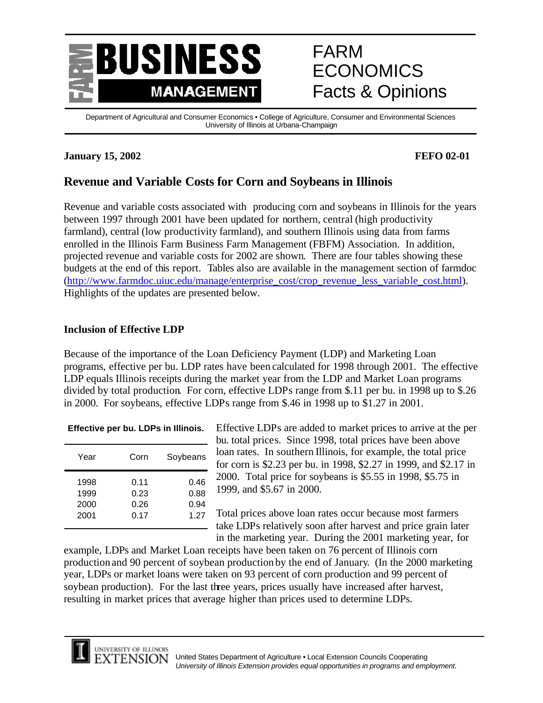

# FARM ECONOMICS Facts & Opinions

Department of Agricultural and Consumer Economics • College of Agriculture, Consumer and Environmental Sciences University of Illinois at Urbana-Champaign

### **January 15, 2002 FEFO 02-01**

# **Revenue and Variable Costs for Corn and Soybeans in Illinois**

Revenue and variable costs associated with producing corn and soybeans in Illinois for the years between 1997 through 2001 have been updated for northern, central (high productivity farmland), central (low productivity farmland), and southern Illinois using data from farms enrolled in the Illinois Farm Business Farm Management (FBFM) Association. In addition, projected revenue and variable costs for 2002 are shown. There are four tables showing these budgets at the end of this report. Tables also are available in the management section of farmdoc (http://www.farmdoc.uiuc.edu/manage/enterprise\_cost/crop\_revenue\_less\_variable\_cost.html). Highlights of the updates are presented below.

### **Inclusion of Effective LDP**

Because of the importance of the Loan Deficiency Payment (LDP) and Marketing Loan programs, effective per bu. LDP rates have been calculated for 1998 through 2001. The effective LDP equals Illinois receipts during the market year from the LDP and Market Loan programs divided by total production. For corn, effective LDPs range from \$.11 per bu. in 1998 up to \$.26 in 2000. For soybeans, effective LDPs range from \$.46 in 1998 up to \$1.27 in 2001.

### **Effective per bu. LDPs in Illinois.**

| Year                         | Corn                         | Soybeans                     |
|------------------------------|------------------------------|------------------------------|
| 1998<br>1999<br>2000<br>2001 | 0.11<br>0.23<br>0.26<br>0.17 | 0.46<br>0.88<br>0.94<br>1.27 |
|                              |                              |                              |

Effective LDPs are added to market prices to arrive at the per bu. total prices. Since 1998, total prices have been above loan rates. In southern Illinois, for example, the total price for corn is \$2.23 per bu. in 1998, \$2.27 in 1999, and \$2.17 in 2000. Total price for soybeans is \$5.55 in 1998, \$5.75 in 1999, and \$5.67 in 2000.

Total prices above loan rates occur because most farmers take LDPs relatively soon after harvest and price grain later in the marketing year. During the 2001 marketing year, for

example, LDPs and Market Loan receipts have been taken on 76 percent of Illinois corn production and 90 percent of soybean production by the end of January. (In the 2000 marketing year, LDPs or market loans were taken on 93 percent of corn production and 99 percent of soybean production). For the last three years, prices usually have increased after harvest, resulting in market prices that average higher than prices used to determine LDPs.

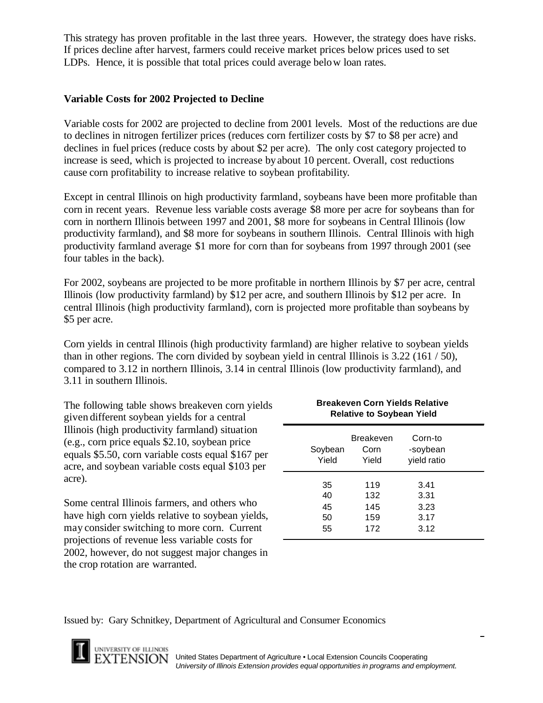This strategy has proven profitable in the last three years. However, the strategy does have risks. If prices decline after harvest, farmers could receive market prices below prices used to set LDPs. Hence, it is possible that total prices could average below loan rates.

### **Variable Costs for 2002 Projected to Decline**

Variable costs for 2002 are projected to decline from 2001 levels. Most of the reductions are due to declines in nitrogen fertilizer prices (reduces corn fertilizer costs by \$7 to \$8 per acre) and declines in fuel prices (reduce costs by about \$2 per acre). The only cost category projected to increase is seed, which is projected to increase by about 10 percent. Overall, cost reductions cause corn profitability to increase relative to soybean profitability.

Except in central Illinois on high productivity farmland, soybeans have been more profitable than corn in recent years. Revenue less variable costs average \$8 more per acre for soybeans than for corn in northern Illinois between 1997 and 2001, \$8 more for soybeans in Central Illinois (low productivity farmland), and \$8 more for soybeans in southern Illinois. Central Illinois with high productivity farmland average \$1 more for corn than for soybeans from 1997 through 2001 (see four tables in the back).

For 2002, soybeans are projected to be more profitable in northern Illinois by \$7 per acre, central Illinois (low productivity farmland) by \$12 per acre, and southern Illinois by \$12 per acre. In central Illinois (high productivity farmland), corn is projected more profitable than soybeans by \$5 per acre.

Corn yields in central Illinois (high productivity farmland) are higher relative to soybean yields than in other regions. The corn divided by soybean yield in central Illinois is 3.22 (161 / 50), compared to 3.12 in northern Illinois, 3.14 in central Illinois (low productivity farmland), and 3.11 in southern Illinois.

The following table shows breakeven corn yields given different soybean yields for a central Illinois (high productivity farmland) situation (e.g., corn price equals \$2.10, soybean price equals \$5.50, corn variable costs equal \$167 per acre, and soybean variable costs equal \$103 per acre).

Some central Illinois farmers, and others who have high corn yields relative to soybean yields, may consider switching to more corn. Current projections of revenue less variable costs for 2002, however, do not suggest major changes in the crop rotation are warranted.

| <b>Breakeven Corn Yields Relative</b><br><b>Relative to Soybean Yield</b> |                                 |                                      |  |  |  |  |
|---------------------------------------------------------------------------|---------------------------------|--------------------------------------|--|--|--|--|
| Soybean<br>Yield                                                          | Breakeven<br>Corn<br>Yield      | Corn-to<br>-soybean<br>yield ratio   |  |  |  |  |
| 35<br>40<br>45<br>50<br>55                                                | 119<br>132<br>145<br>159<br>172 | 3.41<br>3.31<br>3.23<br>3.17<br>3.12 |  |  |  |  |

Issued by: Gary Schnitkey, Department of Agricultural and Consumer Economics

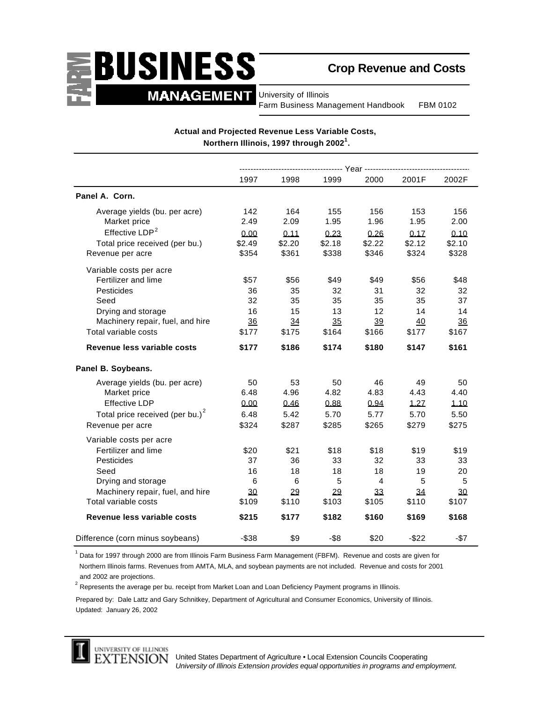

**Crop Revenue and Costs**

University of Illinois Farm Business Management Handbook FBM 0102

|                                             | 1997     | 1998   | 1999    | 2000           | 2001F    | 2002F  |
|---------------------------------------------|----------|--------|---------|----------------|----------|--------|
| Panel A. Corn.                              |          |        |         |                |          |        |
| Average yields (bu. per acre)               | 142      | 164    | 155     | 156            | 153      | 156    |
| Market price                                | 2.49     | 2.09   | 1.95    | 1.96           | 1.95     | 2.00   |
| Effective LDP <sup>2</sup>                  | 0.00     | 0.11   | 0.23    | 0.26           | 0.17     | 0.10   |
| Total price received (per bu.)              | \$2.49   | \$2.20 | \$2.18  | \$2.22         | \$2.12   | \$2.10 |
| Revenue per acre                            | \$354    | \$361  | \$338   | \$346          | \$324    | \$328  |
| Variable costs per acre                     |          |        |         |                |          |        |
| Fertilizer and lime                         | \$57     | \$56   | \$49    | \$49           | \$56     | \$48   |
| Pesticides                                  | 36       | 35     | 32      | 31             | 32       | 32     |
| Seed                                        | 32       | 35     | 35      | 35             | 35       | 37     |
| Drying and storage                          | 16       | 15     | 13      | 12             | 14       | 14     |
| Machinery repair, fuel, and hire            | 36       | 34     | 35      | 39             | 40       | 36     |
| Total variable costs                        | \$177    | \$175  | \$164   | \$166          | \$177    | \$167  |
| Revenue less variable costs                 | \$177    | \$186  | \$174   | \$180          | \$147    | \$161  |
| Panel B. Soybeans.                          |          |        |         |                |          |        |
| Average yields (bu. per acre)               | 50       | 53     | 50      | 46             | 49       | 50     |
| Market price                                | 6.48     | 4.96   | 4.82    | 4.83           | 4.43     | 4.40   |
| <b>Effective LDP</b>                        | 0.00     | 0.46   | 0.88    | 0.94           | 1.27     | 1.10   |
| Total price received (per bu.) <sup>2</sup> | 6.48     | 5.42   | 5.70    | 5.77           | 5.70     | 5.50   |
| Revenue per acre                            | \$324    | \$287  | \$285   | \$265          | \$279    | \$275  |
| Variable costs per acre                     |          |        |         |                |          |        |
| Fertilizer and lime                         | \$20     | \$21   | \$18    | \$18           | \$19     | \$19   |
| Pesticides                                  | 37       | 36     | 33      | 32             | 33       | 33     |
| Seed                                        | 16       | 18     | 18      | 18             | 19       | 20     |
| Drying and storage                          | 6        | 6      | 5       | $\overline{4}$ | 5        | 5      |
| Machinery repair, fuel, and hire            | 30       | 29     | 29      | 33             | 34       | 30     |
| Total variable costs                        | \$109    | \$110  | \$103   | \$105          | \$110    | \$107  |
| Revenue less variable costs                 | \$215    | \$177  | \$182   | \$160          | \$169    | \$168  |
| Difference (corn minus soybeans)            | $-$ \$38 | \$9    | $-$ \$8 | \$20           | $-$ \$22 | $-$7$  |

### **Actual and Projected Revenue Less Variable Costs, Northern Illinois, 1997 through 2002<sup>1</sup> .**

<sup>1</sup> Data for 1997 through 2000 are from Illinois Farm Business Farm Management (FBFM). Revenue and costs are given for Northern Illinois farms. Revenues from AMTA, MLA, and soybean payments are not included. Revenue and costs for 2001 and 2002 are projections.

 $^2$  Represents the average per bu. receipt from Market Loan and Loan Deficiency Payment programs in Illinois.

Prepared by: Dale Lattz and Gary Schnitkey, Department of Agricultural and Consumer Economics, University of Illinois. Updated: January 26, 2002



United States Department of Agriculture • Local Extension Councils Cooperating *University of Illinois Extension provides equal opportunities in programs and employment.*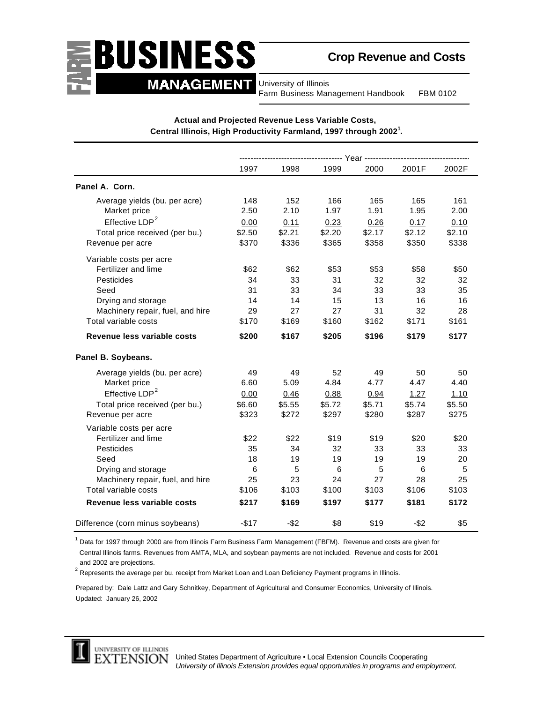# BUSINESS **MANAGEMENT**

# **Crop Revenue and Costs**

University of Illinois Farm Business Management Handbook FBM 0102

|                                  | 1997   | 1998    | 1999   | 2000   | 2001F   | 2002F  |  |
|----------------------------------|--------|---------|--------|--------|---------|--------|--|
| Panel A. Corn.                   |        |         |        |        |         |        |  |
| Average yields (bu. per acre)    | 148    | 152     | 166    | 165    | 165     | 161    |  |
| Market price                     | 2.50   | 2.10    | 1.97   | 1.91   | 1.95    | 2.00   |  |
| Effective LDP <sup>2</sup>       | 0.00   | 0.11    | 0.23   | 0.26   | 0.17    | 0.10   |  |
| Total price received (per bu.)   | \$2.50 | \$2.21  | \$2.20 | \$2.17 | \$2.12  | \$2.10 |  |
| Revenue per acre                 | \$370  | \$336   | \$365  | \$358  | \$350   | \$338  |  |
| Variable costs per acre          |        |         |        |        |         |        |  |
| Fertilizer and lime              | \$62   | \$62    | \$53   | \$53   | \$58    | \$50   |  |
| Pesticides                       | 34     | 33      | 31     | 32     | 32      | 32     |  |
| Seed                             | 31     | 33      | 34     | 33     | 33      | 35     |  |
| Drying and storage               | 14     | 14      | 15     | 13     | 16      | 16     |  |
| Machinery repair, fuel, and hire | 29     | 27      | 27     | 31     | 32      | 28     |  |
| Total variable costs             | \$170  | \$169   | \$160  | \$162  | \$171   | \$161  |  |
| Revenue less variable costs      | \$200  | \$167   | \$205  | \$196  | \$179   | \$177  |  |
| Panel B. Soybeans.               |        |         |        |        |         |        |  |
| Average yields (bu. per acre)    | 49     | 49      | 52     | 49     | 50      | 50     |  |
| Market price                     | 6.60   | 5.09    | 4.84   | 4.77   | 4.47    | 4.40   |  |
| Effective LDP <sup>2</sup>       | 0.00   | 0.46    | 0.88   | 0.94   | 1.27    | 1.10   |  |
| Total price received (per bu.)   | \$6.60 | \$5.55  | \$5.72 | \$5.71 | \$5.74  | \$5.50 |  |
| Revenue per acre                 | \$323  | \$272   | \$297  | \$280  | \$287   | \$275  |  |
| Variable costs per acre          |        |         |        |        |         |        |  |
| Fertilizer and lime              | \$22   | \$22    | \$19   | \$19   | \$20    | \$20   |  |
| Pesticides                       | 35     | 34      | 32     | 33     | 33      | 33     |  |
| Seed                             | 18     | 19      | 19     | 19     | 19      | 20     |  |
| Drying and storage               | 6      | 5       | 6      | 5      | 6       | 5      |  |
| Machinery repair, fuel, and hire | 25     | 23      | 24     | 2Z     | 28      | 25     |  |
| Total variable costs             | \$106  | \$103   | \$100  | \$103  | \$106   | \$103  |  |
| Revenue less variable costs      | \$217  | \$169   | \$197  | \$177  | \$181   | \$172  |  |
| Difference (corn minus soybeans) | $-$17$ | $-$ \$2 | \$8    | \$19   | $-$ \$2 | \$5    |  |

### **Actual and Projected Revenue Less Variable Costs, Central Illinois, High Productivity Farmland, 1997 through 2002<sup>1</sup> .**

<sup>1</sup> Data for 1997 through 2000 are from Illinois Farm Business Farm Management (FBFM). Revenue and costs are given for Central Illinois farms. Revenues from AMTA, MLA, and soybean payments are not included. Revenue and costs for 2001 and 2002 are projections.

 $^2$  Represents the average per bu. receipt from Market Loan and Loan Deficiency Payment programs in Illinois.

Prepared by: Dale Lattz and Gary Schnitkey, Department of Agricultural and Consumer Economics, University of Illinois. Updated: January 26, 2002

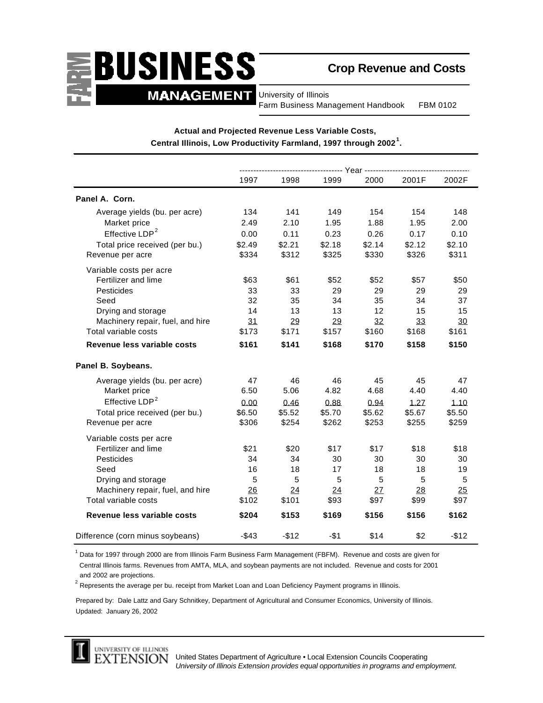

## **Crop Revenue and Costs**

University of Illinois Farm Business Management Handbook FBM 0102

|                                  | -- Year ------------ |        |        |        |        |        |
|----------------------------------|----------------------|--------|--------|--------|--------|--------|
|                                  | 1997                 | 1998   | 1999   | 2000   | 2001F  | 2002F  |
| Panel A. Corn.                   |                      |        |        |        |        |        |
| Average yields (bu. per acre)    | 134                  | 141    | 149    | 154    | 154    | 148    |
| Market price                     | 2.49                 | 2.10   | 1.95   | 1.88   | 1.95   | 2.00   |
| Effective LDP <sup>2</sup>       | 0.00                 | 0.11   | 0.23   | 0.26   | 0.17   | 0.10   |
| Total price received (per bu.)   | \$2.49               | \$2.21 | \$2.18 | \$2.14 | \$2.12 | \$2.10 |
| Revenue per acre                 | \$334                | \$312  | \$325  | \$330  | \$326  | \$311  |
| Variable costs per acre          |                      |        |        |        |        |        |
| Fertilizer and lime              | \$63                 | \$61   | \$52   | \$52   | \$57   | \$50   |
| Pesticides                       | 33                   | 33     | 29     | 29     | 29     | 29     |
| Seed                             | 32                   | 35     | 34     | 35     | 34     | 37     |
| Drying and storage               | 14                   | 13     | 13     | 12     | 15     | 15     |
| Machinery repair, fuel, and hire | 31                   | 29     | 29     | 32     | 33     | 30     |
| Total variable costs             | \$173                | \$171  | \$157  | \$160  | \$168  | \$161  |
| Revenue less variable costs      | \$161                | \$141  | \$168  | \$170  | \$158  | \$150  |
| Panel B. Soybeans.               |                      |        |        |        |        |        |
| Average yields (bu. per acre)    | 47                   | 46     | 46     | 45     | 45     | 47     |
| Market price                     | 6.50                 | 5.06   | 4.82   | 4.68   | 4.40   | 4.40   |
| Effective LDP <sup>2</sup>       | 0.00                 | 0.46   | 0.88   | 0.94   | 1.27   | 1.10   |
| Total price received (per bu.)   | \$6.50               | \$5.52 | \$5.70 | \$5.62 | \$5.67 | \$5.50 |
| Revenue per acre                 | \$306                | \$254  | \$262  | \$253  | \$255  | \$259  |
| Variable costs per acre          |                      |        |        |        |        |        |
| Fertilizer and lime              | \$21                 | \$20   | \$17   | \$17   | \$18   | \$18   |
| Pesticides                       | 34                   | 34     | 30     | 30     | 30     | 30     |
| Seed                             | 16                   | 18     | 17     | 18     | 18     | 19     |
| Drying and storage               | 5                    | 5      | 5      | 5      | 5      | 5      |
| Machinery repair, fuel, and hire | 26                   | 24     | 24     | 27     | 28     | 25     |
| Total variable costs             | \$102                | \$101  | \$93   | \$97   | \$99   | \$97   |
| Revenue less variable costs      | \$204                | \$153  | \$169  | \$156  | \$156  | \$162  |
| Difference (corn minus soybeans) | $-$ \$43             | $-$12$ | $- $1$ | \$14   | \$2    | $-$12$ |

### **Actual and Projected Revenue Less Variable Costs, Central Illinois, Low Productivity Farmland, 1997 through 2002<sup>1</sup> .**

<sup>1</sup> Data for 1997 through 2000 are from Illinois Farm Business Farm Management (FBFM). Revenue and costs are given for Central Illinois farms. Revenues from AMTA, MLA, and soybean payments are not included. Revenue and costs for 2001 and 2002 are projections.

 $^2$  Represents the average per bu. receipt from Market Loan and Loan Deficiency Payment programs in Illinois.

Prepared by: Dale Lattz and Gary Schnitkey, Department of Agricultural and Consumer Economics, University of Illinois. Updated: January 26, 2002